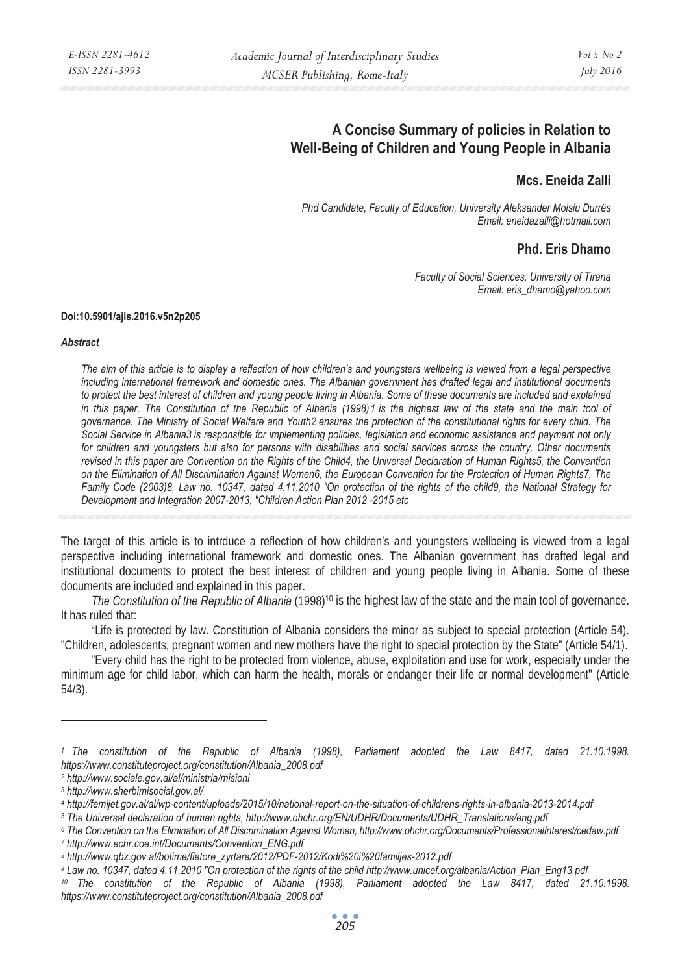# **A Concise Summary of policies in Relation to Well-Being of Children and Young People in Albania**

### **Mcs. Eneida Zalli**

*Phd Candidate, Faculty of Education, University Aleksander Moisiu Durrës Email: eneidazalli@hotmail.com* 

## **Phd. Eris Dhamo**

*Faculty of Social Sciences, University of Tirana Email: eris\_dhamo@yahoo.com* 

#### **Doi:10.5901/ajis.2016.v5n2p205**

#### *Abstract*

*The aim of this article is to display a reflection of how children's and youngsters wellbeing is viewed from a legal perspective including international framework and domestic ones. The Albanian government has drafted legal and institutional documents to protect the best interest of children and young people living in Albania. Some of these documents are included and explained in this paper. The Constitution of the Republic of Albania (1998)1 is the highest law of the state and the main tool of governance. The Ministry of Social Welfare and Youth2 ensures the protection of the constitutional rights for every child. The Social Service in Albania3 is responsible for implementing policies, legislation and economic assistance and payment not only for children and youngsters but also for persons with disabilities and social services across the country. Other documents*  revised in this paper are Convention on the Rights of the Child4, the Universal Declaration of Human Rights5, the Convention *on the Elimination of All Discrimination Against Women6, the European Convention for the Protection of Human Rights7, The Family Code (2003)8, Law no. 10347, dated 4.11.2010 "On protection of the rights of the child9, the National Strategy for Development and Integration 2007-2013, "Children Action Plan 2012 -2015 etc* 

The target of this article is to intrduce a reflection of how children's and youngsters wellbeing is viewed from a legal perspective including international framework and domestic ones. The Albanian government has drafted legal and institutional documents to protect the best interest of children and young people living in Albania. Some of these documents are included and explained in this paper.

*The Constitution of the Republic of Albania* (1998)10 is the highest law of the state and the main tool of governance. It has ruled that:

"Life is protected by law. Constitution of Albania considers the minor as subject to special protection (Article 54). "Children, adolescents, pregnant women and new mothers have the right to special protection by the State" (Article 54/1).

"Every child has the right to be protected from violence, abuse, exploitation and use for work, especially under the minimum age for child labor, which can harm the health, morals or endanger their life or normal development" (Article 54/3).

*2 http://www.sociale.gov.al/al/ministria/misioni* 

 $\overline{a}$ 

*<sup>1</sup> The constitution of the Republic of Albania (1998), Parliament adopted the Law 8417, dated 21.10.1998. https://www.constituteproject.org/constitution/Albania\_2008.pdf* 

*<sup>3</sup> http://www.sherbimisocial.gov.al/* 

<sup>4</sup> http://femijet.gov.al/al/wp-content/uploads/2015/10/national-report-on-the-situation-of-childrens-rights-in-albania-2013-2014.pdf<br>5 The Universal declaration of human rights, http://www.ohchr.org/EN/UDHR/Documents/UDHR\_T

*<sup>6</sup> The Convention on the Elimination of All Discrimination Against Women, http://www.ohchr.org/Documents/ProfessionalInterest/cedaw.pdf 7 http://www.echr.coe.int/Documents/Convention\_ENG.pdf* 

*<sup>8</sup> http://www.qbz.gov.al/botime/fletore\_zyrtare/2012/PDF-2012/Kodi%20i%20familjes-2012.pdf* 

*<sup>9</sup> Law no. 10347, dated 4.11.2010 "On protection of the rights of the child http://www.unicef.org/albania/Action\_Plan\_Eng13.pdf*  <sup>10</sup> The constitution of the Republic of Albania (1998), Parliament adopted the Law 8417, dated 21.10.1998. *https://www.constituteproject.org/constitution/Albania\_2008.pdf*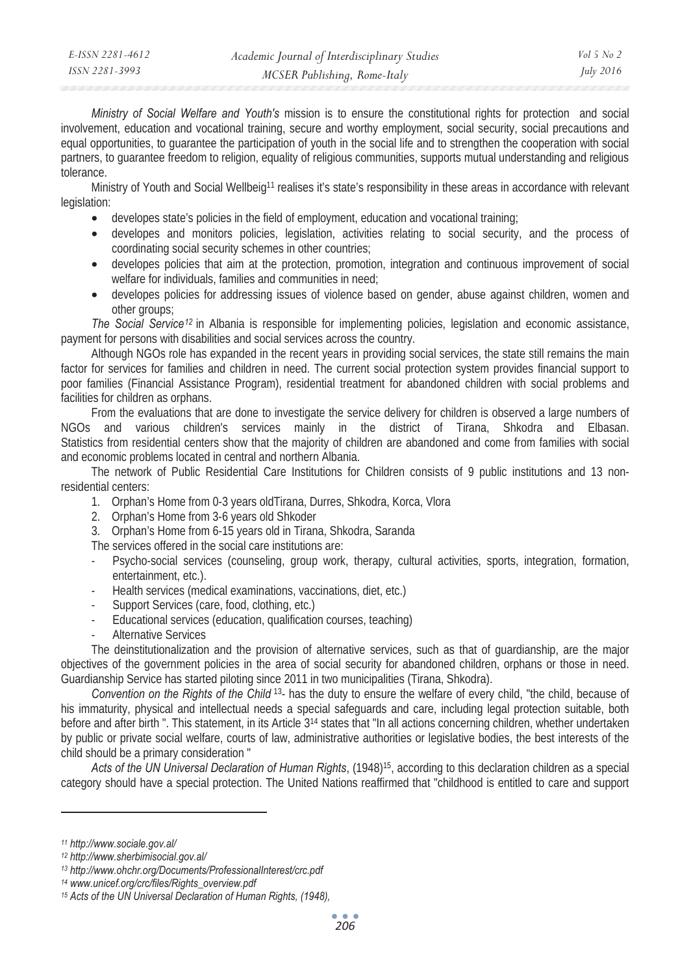*Ministry of Social Welfare and Youth's* mission is to ensure the constitutional rights for protection and social involvement, education and vocational training, secure and worthy employment, social security, social precautions and equal opportunities, to guarantee the participation of youth in the social life and to strengthen the cooperation with social partners, to guarantee freedom to religion, equality of religious communities, supports mutual understanding and religious tolerance.

Ministry of Youth and Social Wellbeig<sup>11</sup> realises it's state's responsibility in these areas in accordance with relevant legislation:

- developes state's policies in the field of employment, education and vocational training;
- developes and monitors policies, legislation, activities relating to social security, and the process of coordinating social security schemes in other countries;
- developes policies that aim at the protection, promotion, integration and continuous improvement of social welfare for individuals, families and communities in need;
- developes policies for addressing issues of violence based on gender, abuse against children, women and other groups;

*The Social Service12* in Albania is responsible for implementing policies, legislation and economic assistance, payment for persons with disabilities and social services across the country.

Although NGOs role has expanded in the recent years in providing social services, the state still remains the main factor for services for families and children in need. The current social protection system provides financial support to poor families (Financial Assistance Program), residential treatment for abandoned children with social problems and facilities for children as orphans.

From the evaluations that are done to investigate the service delivery for children is observed a large numbers of NGOs and various children's services mainly in the district of Tirana, Shkodra and Elbasan. Statistics from residential centers show that the majority of children are abandoned and come from families with social and economic problems located in central and northern Albania.

The network of Public Residential Care Institutions for Children consists of 9 public institutions and 13 nonresidential centers:

- 1. Orphan's Home from 0-3 years oldTirana, Durres, Shkodra, Korca, Vlora
- 2. Orphan's Home from 3-6 years old Shkoder
- 3. Orphan's Home from 6-15 years old in Tirana, Shkodra, Saranda

The services offered in the social care institutions are:

- Psycho-social services (counseling, group work, therapy, cultural activities, sports, integration, formation, entertainment, etc.).
- Health services (medical examinations, vaccinations, diet, etc.)
- Support Services (care, food, clothing, etc.)
- Educational services (education, qualification courses, teaching)
- Alternative Services

The deinstitutionalization and the provision of alternative services, such as that of guardianship, are the major objectives of the government policies in the area of social security for abandoned children, orphans or those in need. Guardianship Service has started piloting since 2011 in two municipalities (Tirana, Shkodra).

*Convention on the Rights of the Child* 13- has the duty to ensure the welfare of every child, "the child, because of his immaturity, physical and intellectual needs a special safeguards and care, including legal protection suitable, both before and after birth ". This statement, in its Article 3<sup>14</sup> states that "In all actions concerning children, whether undertaken by public or private social welfare, courts of law, administrative authorities or legislative bodies, the best interests of the child should be a primary consideration "

*Acts of the UN Universal Declaration of Human Rights*, (1948)15, according to this declaration children as a special category should have a special protection. The United Nations reaffirmed that "childhood is entitled to care and support

 $\overline{a}$ 

*<sup>11</sup> http://www.sociale.gov.al/* 

*<sup>12</sup> http://www.sherbimisocial.gov.al/* 

*<sup>13</sup> http://www.ohchr.org/Documents/ProfessionalInterest/crc.pdf* 

*<sup>14</sup> www.unicef.org/crc/files/Rights\_overview.pdf* 

*<sup>15</sup> Acts of the UN Universal Declaration of Human Rights, (1948),*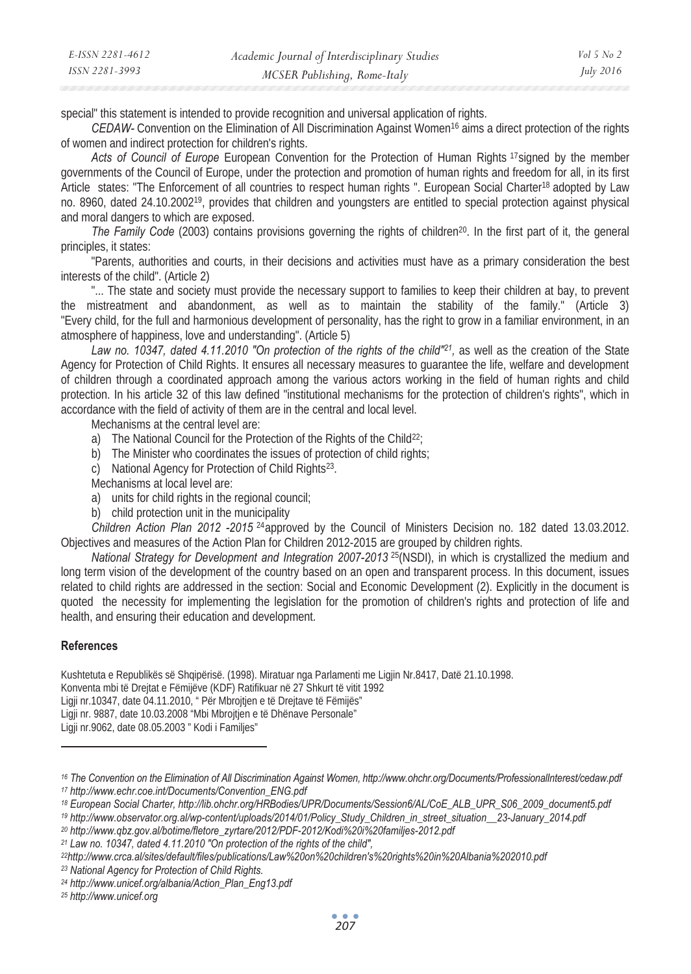| E-ISSN 2281-4612 | Academic Journal of Interdisciplinary Studies | Vol 5 No 2       |
|------------------|-----------------------------------------------|------------------|
| ISSN 2281-3993   | MCSER Publishing, Rome-Italy                  | <i>July 2016</i> |

special" this statement is intended to provide recognition and universal application of rights.

*CEDAW-* Convention on the Elimination of All Discrimination Against Women16 aims a direct protection of the rights of women and indirect protection for children's rights.

*Acts of Council of Europe* European Convention for the Protection of Human Rights 17signed by the member governments of the Council of Europe, under the protection and promotion of human rights and freedom for all, in its first Article states: "The Enforcement of all countries to respect human rights ". European Social Charter18 adopted by Law no. 8960, dated 24.10.200219, provides that children and youngsters are entitled to special protection against physical and moral dangers to which are exposed.

*The Family Code* (2003) contains provisions governing the rights of children<sup>20</sup>. In the first part of it, the general principles, it states:

"Parents, authorities and courts, in their decisions and activities must have as a primary consideration the best interests of the child". (Article 2)

"... The state and society must provide the necessary support to families to keep their children at bay, to prevent the mistreatment and abandonment, as well as to maintain the stability of the family." (Article 3) "Every child, for the full and harmonious development of personality, has the right to grow in a familiar environment, in an atmosphere of happiness, love and understanding". (Article 5)

*Law no. 10347, dated 4.11.2010 "On protection of the rights of the child"21,* as well as the creation of the State Agency for Protection of Child Rights. It ensures all necessary measures to guarantee the life, welfare and development of children through a coordinated approach among the various actors working in the field of human rights and child protection. In his article 32 of this law defined "institutional mechanisms for the protection of children's rights", which in accordance with the field of activity of them are in the central and local level.

Mechanisms at the central level are:

- a) The National Council for the Protection of the Rights of the Child<sup>22</sup>;
- b) The Minister who coordinates the issues of protection of child rights;
- c) National Agency for Protection of Child Rights<sup>23</sup>.
- Mechanisms at local level are:
- a) units for child rights in the regional council;
- b) child protection unit in the municipality

*Children Action Plan 2012 -2015* 24approved by the Council of Ministers Decision no. 182 dated 13.03.2012. Objectives and measures of the Action Plan for Children 2012-2015 are grouped by children rights.

*National Strategy for Development and Integration 2007-2013* <sup>25</sup>(NSDI), in which is crystallized the medium and long term vision of the development of the country based on an open and transparent process. In this document, issues related to child rights are addressed in the section: Social and Economic Development (2). Explicitly in the document is quoted the necessity for implementing the legislation for the promotion of children's rights and protection of life and health, and ensuring their education and development.

### **References**

 $\overline{a}$ 

Kushtetuta e Republikës së Shqipërisë. (1998). Miratuar nga Parlamenti me Ligjin Nr.8417, Datë 21.10.1998.

Konventa mbi të Drejtat e Fëmijëve (KDF) Ratifikuar në 27 Shkurt të vitit 1992

Ligji nr.10347, date 04.11.2010, " Për Mbrojtjen e të Drejtave të Fëmijës"

Ligji nr. 9887, date 10.03.2008 "Mbi Mbrojtjen e të Dhënave Personale"

Ligji nr.9062, date 08.05.2003 " Kodi i Familjes"

*23 National Agency for Protection of Child Rights.* 

*25 http://www.unicef.org* 

*<sup>16</sup> The Convention on the Elimination of All Discrimination Against Women, http://www.ohchr.org/Documents/ProfessionalInterest/cedaw.pdf 17 http://www.echr.coe.int/Documents/Convention\_ENG.pdf* 

<sup>18</sup> European Social Charter, http://lib.ohchr.org/HRBodies/UPR/Documents/Session6/AL/CoE\_ALB\_UPR\_S06\_2009\_document5.pdf<br>19 http://www.observator.org.al/wp-content/uploads/2014/01/Policy\_Study\_Children\_in\_street\_situation\_\_2

*<sup>20</sup> http://www.qbz.gov.al/botime/fletore\_zyrtare/2012/PDF-2012/Kodi%20i%20familjes-2012.pdf* 

*<sup>21</sup> Law no. 10347, dated 4.11.2010 "On protection of the rights of the child", 22http://www.crca.al/sites/default/files/publications/Law%20on%20children's%20rights%20in%20Albania%202010.pdf* 

*<sup>24</sup> http://www.unicef.org/albania/Action\_Plan\_Eng13.pdf*